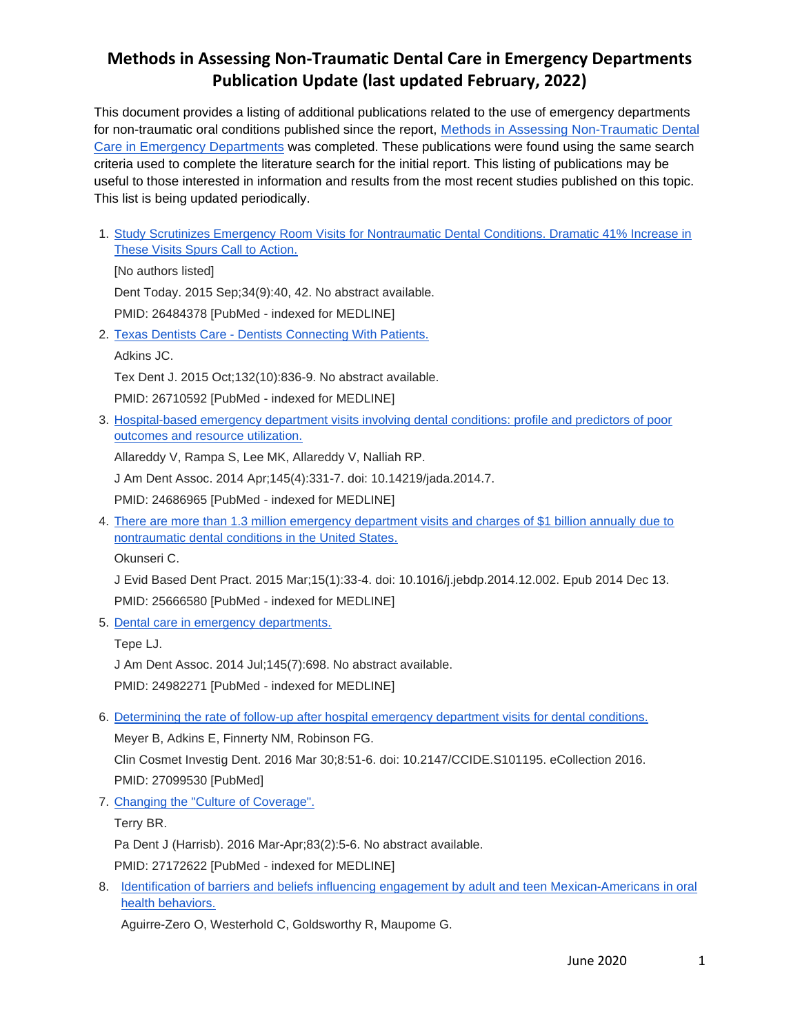This document provides a listing of additional publications related to the use of emergency departments for non-traumatic oral conditions published since the report, Methods in Assessing [Non-Traumatic](http://www.astdd.org/docs/ed-dental-care-report-jan-2016.docx) Dental Care in Emergency [Departments](http://www.astdd.org/docs/ed-dental-care-report-jan-2016.docx) was completed. These publications were found using the same search criteria used to complete the literature search for the initial report. This listing of publications may be useful to those interested in information and results from the most recent studies published on this topic. This list is being updated periodically.

1. [Study Scrutinizes Emergency Room Visits for Nontraumatic Dental](http://www.ncbi.nlm.nih.gov/pubmed/26484378) Conditions. Dramatic 41% Increase in **[These Visits Spurs Call to Action.](http://www.ncbi.nlm.nih.gov/pubmed/26484378)** 

[No authors listed] Dent Today. 2015 Sep;34(9):40, 42. No abstract available. PMID: 26484378 [PubMed - indexed for MEDLINE]

2. Texas Dentists Care - [Dentists Connecting With Patients.](http://www.ncbi.nlm.nih.gov/pubmed/26710592)

Adkins JC.

Tex Dent J. 2015 Oct;132(10):836-9. No abstract available.

PMID: 26710592 [PubMed - indexed for MEDLINE]

3. [Hospital-based emergency department visits involving dental conditions: profile and predictors of poor](http://www.ncbi.nlm.nih.gov/pubmed/24686965)  [outcomes and resource utilization.](http://www.ncbi.nlm.nih.gov/pubmed/24686965)

Allareddy V, Rampa S, Lee MK, Allareddy V, Nalliah RP.

J Am Dent Assoc. 2014 Apr;145(4):331-7. doi: 10.14219/jada.2014.7.

PMID: 24686965 [PubMed - indexed for MEDLINE]

4. [There are more than 1.3 million emergency department visits and charges of \\$1 billion annually due to](http://www.ncbi.nlm.nih.gov/pubmed/25666580)  [nontraumatic dental conditions in the United States.](http://www.ncbi.nlm.nih.gov/pubmed/25666580)

Okunseri C.

J Evid Based Dent Pract. 2015 Mar;15(1):33-4. doi: 10.1016/j.jebdp.2014.12.002. Epub 2014 Dec 13. PMID: 25666580 [PubMed - indexed for MEDLINE]

5. [Dental care in emergency departments.](http://www.ncbi.nlm.nih.gov/pubmed/24982271)

Tepe LJ.

J Am Dent Assoc. 2014 Jul;145(7):698. No abstract available.

PMID: 24982271 [PubMed - indexed for MEDLINE]

6. [Determining the rate of follow-up after hospital emergency department visits for dental conditions.](http://www.ncbi.nlm.nih.gov/pubmed/27099530) Meyer B, Adkins E, Finnerty NM, Robinson FG.

Clin Cosmet Investig Dent. 2016 Mar 30;8:51-6. doi: 10.2147/CCIDE.S101195. eCollection 2016. PMID: 27099530 [PubMed]

7. [Changing the "Culture of Coverage".](http://www.ncbi.nlm.nih.gov/pubmed/27172622)

Terry BR.

Pa Dent J (Harrisb). 2016 Mar-Apr;83(2):5-6. No abstract available.

PMID: 27172622 [PubMed - indexed for MEDLINE]

8. [Identification of barriers and beliefs influencing engagement by adult and teen Mexican-Americans in oral](http://www.ncbi.nlm.nih.gov/pubmed/27149773)  [health behaviors.](http://www.ncbi.nlm.nih.gov/pubmed/27149773)

Aguirre-Zero O, Westerhold C, Goldsworthy R, Maupome G.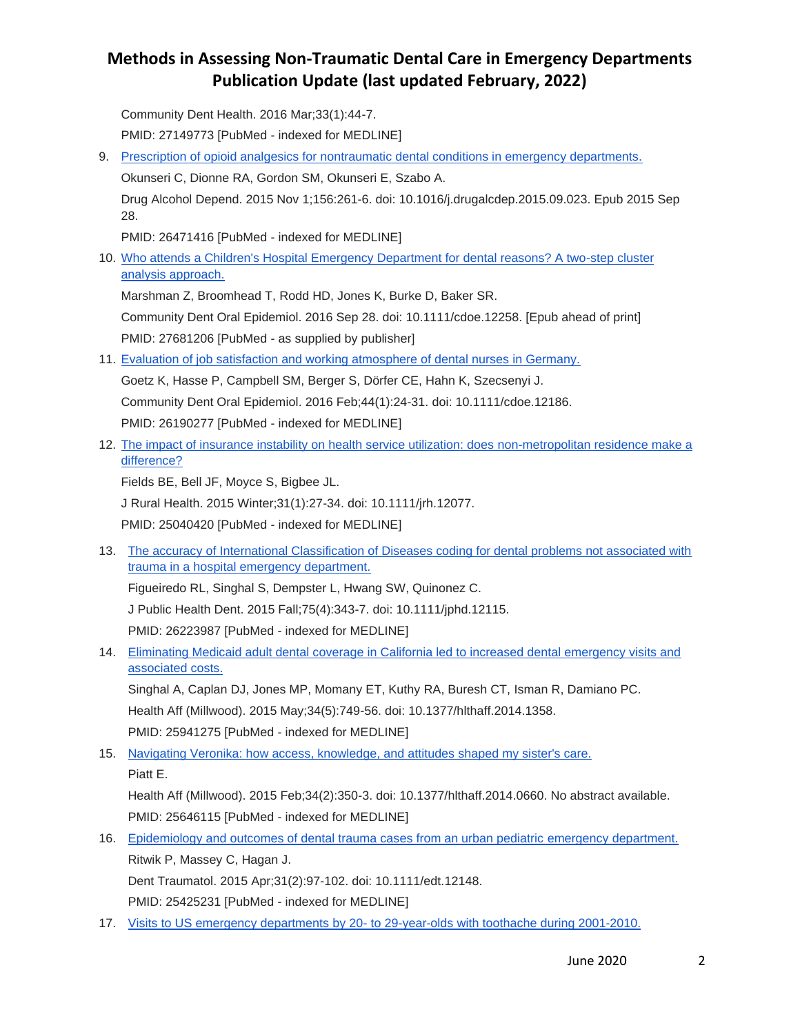Community Dent Health. 2016 Mar;33(1):44-7. PMID: 27149773 [PubMed - indexed for MEDLINE]

- 9. [Prescription of opioid analgesics for nontraumatic dental conditions in emergency departments.](http://www.ncbi.nlm.nih.gov/pubmed/26471416) Okunseri C, Dionne RA, Gordon SM, Okunseri E, Szabo A. Drug Alcohol Depend. 2015 Nov 1;156:261-6. doi: 10.1016/j.drugalcdep.2015.09.023. Epub 2015 Sep 28. PMID: 26471416 [PubMed - indexed for MEDLINE]
- 10. [Who attends a Children's Hospital Emergency Department for dental reasons? A two-step cluster](http://www.ncbi.nlm.nih.gov/pubmed/27681206)  [analysis approach.](http://www.ncbi.nlm.nih.gov/pubmed/27681206)

Marshman Z, Broomhead T, Rodd HD, Jones K, Burke D, Baker SR. Community Dent Oral Epidemiol. 2016 Sep 28. doi: 10.1111/cdoe.12258. [Epub ahead of print] PMID: 27681206 [PubMed - as supplied by publisher]

- 11. [Evaluation of job satisfaction and working atmosphere of dental nurses in Germany.](http://www.ncbi.nlm.nih.gov/pubmed/26190277) Goetz K, Hasse P, Campbell SM, Berger S, Dörfer CE, Hahn K, Szecsenyi J. Community Dent Oral Epidemiol. 2016 Feb;44(1):24-31. doi: 10.1111/cdoe.12186. PMID: 26190277 [PubMed - indexed for MEDLINE]
- 12. [The impact of insurance instability on health service utilization: does non-metropolitan residence make a](http://www.ncbi.nlm.nih.gov/pubmed/25040420)  [difference?](http://www.ncbi.nlm.nih.gov/pubmed/25040420)

Fields BE, Bell JF, Moyce S, Bigbee JL.

J Rural Health. 2015 Winter;31(1):27-34. doi: 10.1111/jrh.12077.

PMID: 25040420 [PubMed - indexed for MEDLINE]

13. [The accuracy of International Classification of Diseases coding for dental problems not associated with](http://www.ncbi.nlm.nih.gov/pubmed/26223987)  [trauma in a hospital emergency department.](http://www.ncbi.nlm.nih.gov/pubmed/26223987)

Figueiredo RL, Singhal S, Dempster L, Hwang SW, Quinonez C.

J Public Health Dent. 2015 Fall;75(4):343-7. doi: 10.1111/jphd.12115.

PMID: 26223987 [PubMed - indexed for MEDLINE]

14. [Eliminating Medicaid adult dental coverage in California led to increased dental emergency visits and](http://www.ncbi.nlm.nih.gov/pubmed/25941275)  [associated costs.](http://www.ncbi.nlm.nih.gov/pubmed/25941275)

Singhal A, Caplan DJ, Jones MP, Momany ET, Kuthy RA, Buresh CT, Isman R, Damiano PC. Health Aff (Millwood). 2015 May;34(5):749-56. doi: 10.1377/hlthaff.2014.1358. PMID: 25941275 [PubMed - indexed for MEDLINE]

15. [Navigating Veronika: how access, knowledge, and attitudes shaped my sister's care.](http://www.ncbi.nlm.nih.gov/pubmed/25646115) Piatt E.

Health Aff (Millwood). 2015 Feb;34(2):350-3. doi: 10.1377/hlthaff.2014.0660. No abstract available. PMID: 25646115 [PubMed - indexed for MEDLINE]

- 16. [Epidemiology and outcomes of dental trauma cases from an urban pediatric emergency department.](http://www.ncbi.nlm.nih.gov/pubmed/25425231) Ritwik P, Massey C, Hagan J. Dent Traumatol. 2015 Apr;31(2):97-102. doi: 10.1111/edt.12148. PMID: 25425231 [PubMed - indexed for MEDLINE]
- 17. Visits to US emergency departments by 20- [to 29-year-olds with toothache during 2001-2010.](http://www.ncbi.nlm.nih.gov/pubmed/25925521)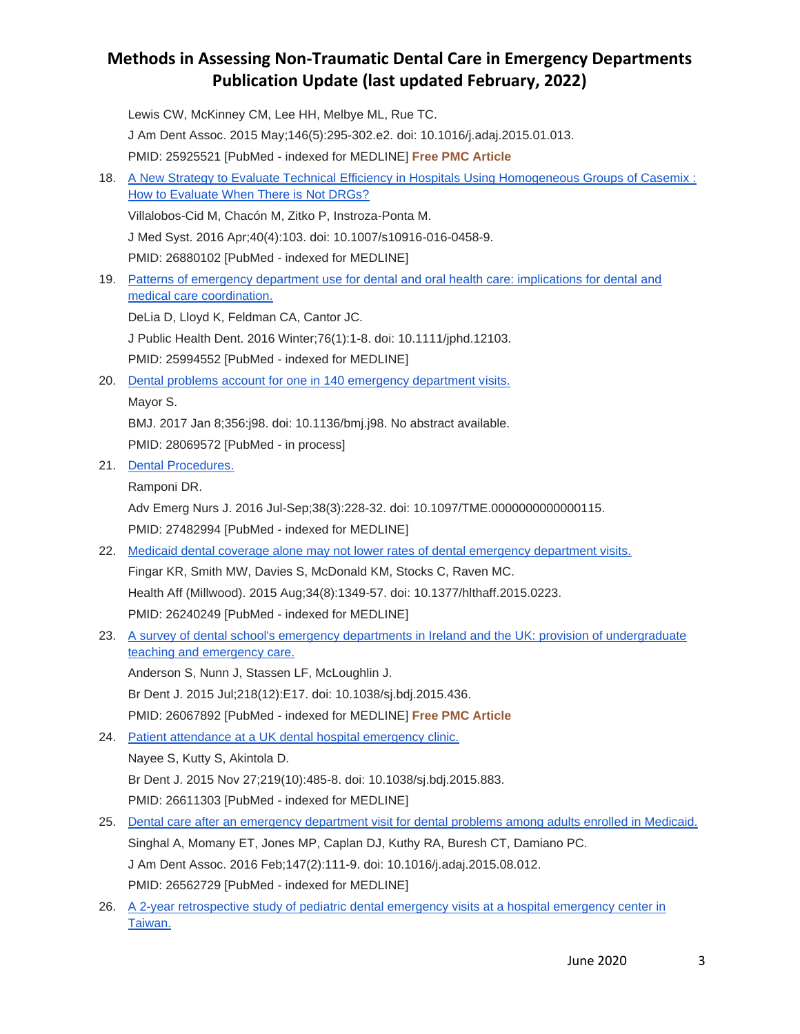Lewis CW, McKinney CM, Lee HH, Melbye ML, Rue TC. J Am Dent Assoc. 2015 May;146(5):295-302.e2. doi: 10.1016/j.adaj.2015.01.013. PMID: 25925521 [PubMed - indexed for MEDLINE] **Free PMC Article** 18. [A New Strategy to Evaluate Technical Efficiency in Hospitals Using Homogeneous Groups of Casemix :](http://www.ncbi.nlm.nih.gov/pubmed/26880102)  [How to Evaluate When There is Not DRGs?](http://www.ncbi.nlm.nih.gov/pubmed/26880102) Villalobos-Cid M, Chacón M, Zitko P, Instroza-Ponta M. J Med Syst. 2016 Apr;40(4):103. doi: 10.1007/s10916-016-0458-9. PMID: 26880102 [PubMed - indexed for MEDLINE] 19. [Patterns of emergency department use for dental and oral health care: implications for dental and](http://www.ncbi.nlm.nih.gov/pubmed/25994552)  [medical care coordination.](http://www.ncbi.nlm.nih.gov/pubmed/25994552) DeLia D, Lloyd K, Feldman CA, Cantor JC. J Public Health Dent. 2016 Winter;76(1):1-8. doi: 10.1111/jphd.12103. PMID: 25994552 [PubMed - indexed for MEDLINE] 20. [Dental problems account for one in 140 emergency department visits.](http://www.ncbi.nlm.nih.gov/pubmed/28069572) Mayor S. BMJ. 2017 Jan 8;356:j98. doi: 10.1136/bmj.j98. No abstract available. PMID: 28069572 [PubMed - in process] 21. [Dental Procedures.](http://www.ncbi.nlm.nih.gov/pubmed/27482994) Ramponi DR. Adv Emerg Nurs J. 2016 Jul-Sep;38(3):228-32. doi: 10.1097/TME.0000000000000115. PMID: 27482994 [PubMed - indexed for MEDLINE] 22. [Medicaid dental coverage alone may not lower rates of dental emergency department visits.](http://www.ncbi.nlm.nih.gov/pubmed/26240249) Fingar KR, Smith MW, Davies S, McDonald KM, Stocks C, Raven MC. Health Aff (Millwood). 2015 Aug;34(8):1349-57. doi: 10.1377/hlthaff.2015.0223. PMID: 26240249 [PubMed - indexed for MEDLINE] 23. [A survey of dental school's emergency departments in Ireland and the UK: provision of undergraduate](http://www.ncbi.nlm.nih.gov/pubmed/26067892)  [teaching and emergency care.](http://www.ncbi.nlm.nih.gov/pubmed/26067892) Anderson S, Nunn J, Stassen LF, McLoughlin J. Br Dent J. 2015 Jul;218(12):E17. doi: 10.1038/sj.bdj.2015.436.

PMID: 26067892 [PubMed - indexed for MEDLINE] **Free PMC Article**

24. [Patient attendance at a UK dental hospital emergency clinic.](http://www.ncbi.nlm.nih.gov/pubmed/26611303)

Nayee S, Kutty S, Akintola D. Br Dent J. 2015 Nov 27;219(10):485-8. doi: 10.1038/sj.bdj.2015.883. PMID: 26611303 [PubMed - indexed for MEDLINE]

- 25. [Dental care after an emergency department visit for dental problems among adults enrolled in Medicaid.](http://www.ncbi.nlm.nih.gov/pubmed/26562729) Singhal A, Momany ET, Jones MP, Caplan DJ, Kuthy RA, Buresh CT, Damiano PC. J Am Dent Assoc. 2016 Feb;147(2):111-9. doi: 10.1016/j.adaj.2015.08.012. PMID: 26562729 [PubMed - indexed for MEDLINE]
- 26. [A 2-year retrospective study of pediatric dental emergency visits at a hospital emergency center in](http://www.ncbi.nlm.nih.gov/pubmed/27621123)  [Taiwan.](http://www.ncbi.nlm.nih.gov/pubmed/27621123)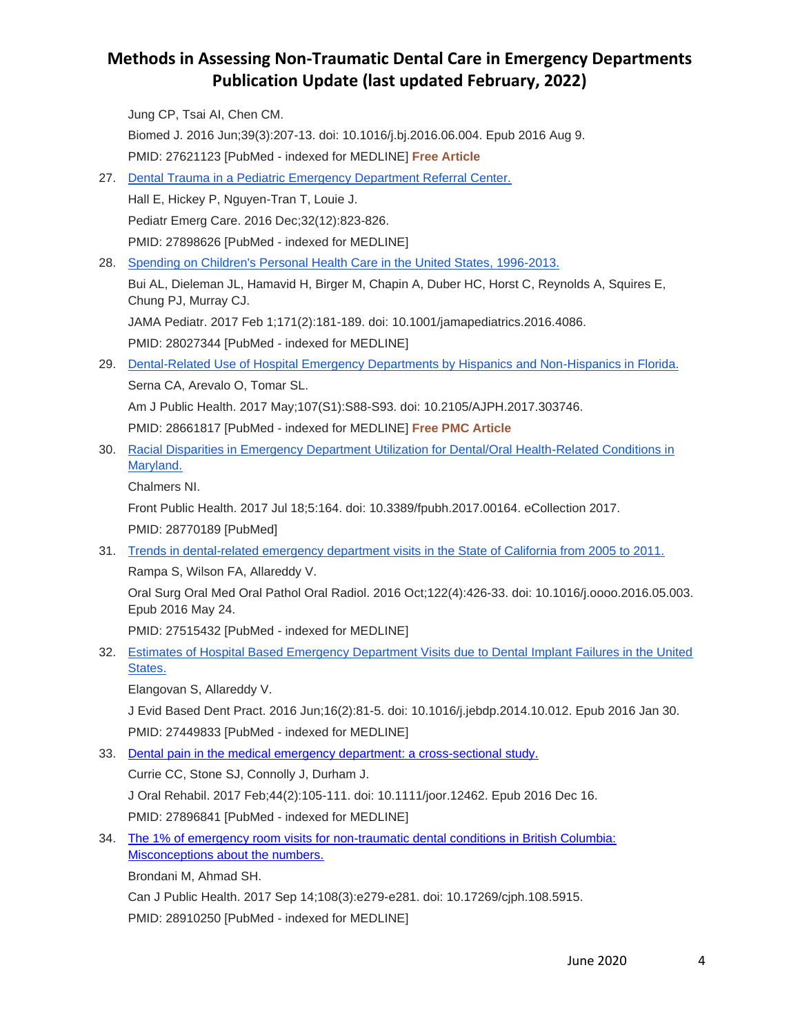Jung CP, Tsai AI, Chen CM. Biomed J. 2016 Jun;39(3):207-13. doi: 10.1016/j.bj.2016.06.004. Epub 2016 Aug 9. PMID: 27621123 [PubMed - indexed for MEDLINE] **Free Article**

- 27. [Dental Trauma in a Pediatric Emergency Department Referral Center.](http://www.ncbi.nlm.nih.gov/pubmed/27898626) Hall E, Hickey P, Nguyen-Tran T, Louie J. Pediatr Emerg Care. 2016 Dec;32(12):823-826. PMID: 27898626 [PubMed - indexed for MEDLINE]
- 28. [Spending on Children's Personal Health Care in the United States, 1996-2013.](http://www.ncbi.nlm.nih.gov/pubmed/28027344) Bui AL, Dieleman JL, Hamavid H, Birger M, Chapin A, Duber HC, Horst C, Reynolds A, Squires E, Chung PJ, Murray CJ. JAMA Pediatr. 2017 Feb 1;171(2):181-189. doi: 10.1001/jamapediatrics.2016.4086.

PMID: 28027344 [PubMed - indexed for MEDLINE]

29. [Dental-Related Use of Hospital Emergency Departments by Hispanics and Non-Hispanics in Florida.](http://www.ncbi.nlm.nih.gov/pubmed/28661817) Serna CA, Arevalo O, Tomar SL. Am J Public Health. 2017 May;107(S1):S88-S93. doi: 10.2105/AJPH.2017.303746.

PMID: 28661817 [PubMed - indexed for MEDLINE] **Free PMC Article**

30. Racial Disparities in Emergency Department Utilization for Dental/Oral Health-Related Conditions in [Maryland.](http://www.ncbi.nlm.nih.gov/pubmed/28770189)

Chalmers NI.

Front Public Health. 2017 Jul 18;5:164. doi: 10.3389/fpubh.2017.00164. eCollection 2017. PMID: 28770189 [PubMed]

31. [Trends in dental-related emergency department visits in the State of California from 2005 to 2011.](http://www.ncbi.nlm.nih.gov/pubmed/27515432) Rampa S, Wilson FA, Allareddy V.

Oral Surg Oral Med Oral Pathol Oral Radiol. 2016 Oct;122(4):426-33. doi: 10.1016/j.oooo.2016.05.003. Epub 2016 May 24.

PMID: 27515432 [PubMed - indexed for MEDLINE]

32. [Estimates of Hospital Based Emergency Department Visits due to Dental Implant Failures in the United](http://www.ncbi.nlm.nih.gov/pubmed/27449833)  [States.](http://www.ncbi.nlm.nih.gov/pubmed/27449833)

Elangovan S, Allareddy V.

J Evid Based Dent Pract. 2016 Jun;16(2):81-5. doi: 10.1016/j.jebdp.2014.10.012. Epub 2016 Jan 30. PMID: 27449833 [PubMed - indexed for MEDLINE]

33. [Dental pain in the medical emergency department: a cross-sectional study.](http://www.ncbi.nlm.nih.gov/pubmed/27896841)

Currie CC, Stone SJ, Connolly J, Durham J.

J Oral Rehabil. 2017 Feb;44(2):105-111. doi: 10.1111/joor.12462. Epub 2016 Dec 16.

PMID: 27896841 [PubMed - indexed for MEDLINE]

34. [The 1% of emergency room visits for non-traumatic dental conditions in British Columbia:](http://www.ncbi.nlm.nih.gov/pubmed/28910250)  [Misconceptions about the numbers.](http://www.ncbi.nlm.nih.gov/pubmed/28910250)

Brondani M, Ahmad SH.

Can J Public Health. 2017 Sep 14;108(3):e279-e281. doi: 10.17269/cjph.108.5915.

PMID: 28910250 [PubMed - indexed for MEDLINE]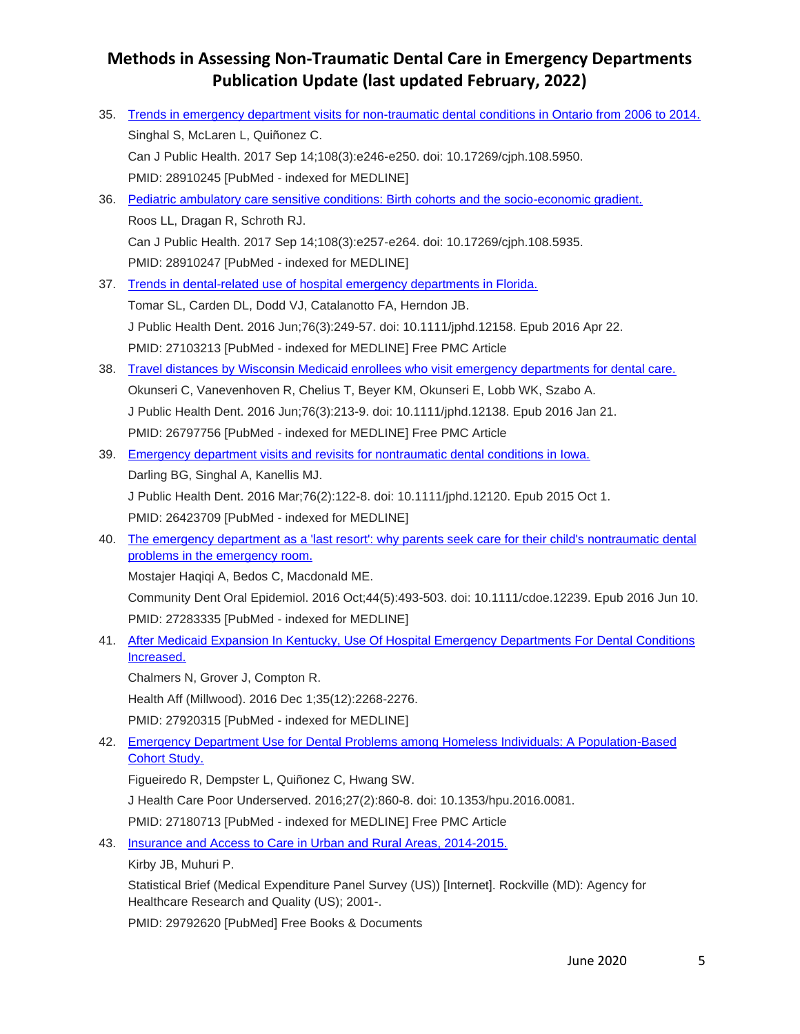| 35. | Trends in emergency department visits for non-traumatic dental conditions in Ontario from 2006 to 2014.                                          |
|-----|--------------------------------------------------------------------------------------------------------------------------------------------------|
|     | Singhal S, McLaren L, Quiñonez C.                                                                                                                |
|     | Can J Public Health. 2017 Sep 14;108(3):e246-e250. doi: 10.17269/cjph.108.5950.                                                                  |
|     | PMID: 28910245 [PubMed - indexed for MEDLINE]                                                                                                    |
| 36. | Pediatric ambulatory care sensitive conditions: Birth cohorts and the socio-economic gradient.                                                   |
|     | Roos LL, Dragan R, Schroth RJ.                                                                                                                   |
|     | Can J Public Health. 2017 Sep 14;108(3):e257-e264. doi: 10.17269/cjph.108.5935.                                                                  |
|     | PMID: 28910247 [PubMed - indexed for MEDLINE]                                                                                                    |
| 37. | Trends in dental-related use of hospital emergency departments in Florida.                                                                       |
|     | Tomar SL, Carden DL, Dodd VJ, Catalanotto FA, Herndon JB.                                                                                        |
|     | J Public Health Dent. 2016 Jun;76(3):249-57. doi: 10.1111/jphd.12158. Epub 2016 Apr 22.                                                          |
|     | PMID: 27103213 [PubMed - indexed for MEDLINE] Free PMC Article                                                                                   |
| 38. | Travel distances by Wisconsin Medicaid enrollees who visit emergency departments for dental care.                                                |
|     | Okunseri C, Vanevenhoven R, Chelius T, Beyer KM, Okunseri E, Lobb WK, Szabo A.                                                                   |
|     | J Public Health Dent. 2016 Jun;76(3):213-9. doi: 10.1111/jphd.12138. Epub 2016 Jan 21.                                                           |
|     | PMID: 26797756 [PubMed - indexed for MEDLINE] Free PMC Article                                                                                   |
| 39. | Emergency department visits and revisits for nontraumatic dental conditions in lowa.                                                             |
|     | Darling BG, Singhal A, Kanellis MJ.                                                                                                              |
|     | J Public Health Dent. 2016 Mar;76(2):122-8. doi: 10.1111/jphd.12120. Epub 2015 Oct 1.                                                            |
|     | PMID: 26423709 [PubMed - indexed for MEDLINE]                                                                                                    |
| 40. | The emergency department as a 'last resort': why parents seek care for their child's nontraumatic dental                                         |
|     | problems in the emergency room.                                                                                                                  |
|     | Mostajer Haqiqi A, Bedos C, Macdonald ME.                                                                                                        |
|     | Community Dent Oral Epidemiol. 2016 Oct;44(5):493-503. doi: 10.1111/cdoe.12239. Epub 2016 Jun 10.                                                |
|     | PMID: 27283335 [PubMed - indexed for MEDLINE]                                                                                                    |
| 41. | After Medicaid Expansion In Kentucky, Use Of Hospital Emergency Departments For Dental Conditions                                                |
|     | Increased.                                                                                                                                       |
|     | Chalmers N, Grover J, Compton R.                                                                                                                 |
|     | Health Aff (Millwood). 2016 Dec 1;35(12):2268-2276.                                                                                              |
|     | PMID: 27920315 [PubMed - indexed for MEDLINE]                                                                                                    |
| 42. | <b>Emergency Department Use for Dental Problems among Homeless Individuals: A Population-Based</b><br><b>Cohort Study.</b>                       |
|     | Figueiredo R, Dempster L, Quiñonez C, Hwang SW.                                                                                                  |
|     | J Health Care Poor Underserved. 2016;27(2):860-8. doi: 10.1353/hpu.2016.0081.                                                                    |
|     | PMID: 27180713 [PubMed - indexed for MEDLINE] Free PMC Article                                                                                   |
| 43. | Insurance and Access to Care in Urban and Rural Areas, 2014-2015.                                                                                |
|     | Kirby JB, Muhuri P.                                                                                                                              |
|     | Statistical Brief (Medical Expenditure Panel Survey (US)) [Internet]. Rockville (MD): Agency for<br>Healthcare Research and Quality (US); 2001-. |
|     | PMID: 29792620 [PubMed] Free Books & Documents                                                                                                   |
|     |                                                                                                                                                  |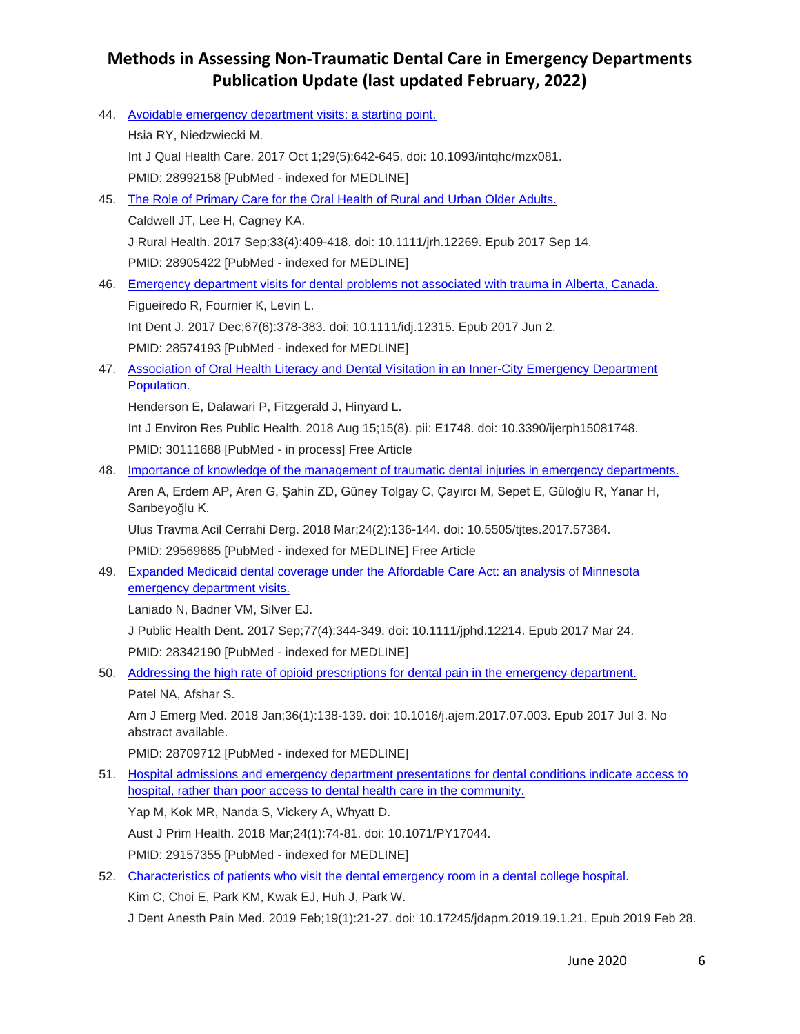44. [Avoidable emergency department visits: a starting point.](https://www.ncbi.nlm.nih.gov/pubmed/28992158) Hsia RY, Niedzwiecki M. Int J Qual Health Care. 2017 Oct 1;29(5):642-645. doi: 10.1093/intqhc/mzx081. PMID: 28992158 [PubMed - indexed for MEDLINE] 45. [The Role of Primary Care for the Oral Health of Rural and Urban Older Adults.](https://www.ncbi.nlm.nih.gov/pubmed/28905422) Caldwell JT, Lee H, Cagney KA. J Rural Health. 2017 Sep;33(4):409-418. doi: 10.1111/jrh.12269. Epub 2017 Sep 14. PMID: 28905422 [PubMed - indexed for MEDLINE] 46. [Emergency department visits for dental problems not associated with trauma in Alberta, Canada.](https://www.ncbi.nlm.nih.gov/pubmed/28574193) Figueiredo R, Fournier K, Levin L. Int Dent J. 2017 Dec;67(6):378-383. doi: 10.1111/idj.12315. Epub 2017 Jun 2. PMID: 28574193 [PubMed - indexed for MEDLINE] 47. [Association of Oral Health Literacy and Dental Visitation in an Inner-City Emergency Department](https://www.ncbi.nlm.nih.gov/pubmed/30111688)  [Population.](https://www.ncbi.nlm.nih.gov/pubmed/30111688) Henderson E, Dalawari P, Fitzgerald J, Hinyard L. Int J Environ Res Public Health. 2018 Aug 15;15(8). pii: E1748. doi: 10.3390/ijerph15081748. PMID: 30111688 [PubMed - in process] Free Article 48. [Importance of knowledge of the management of traumatic dental injuries in emergency departments.](https://www.ncbi.nlm.nih.gov/pubmed/29569685) Aren A, Erdem AP, Aren G, Şahin ZD, Güney Tolgay C, Çayırcı M, Sepet E, Güloğlu R, Yanar H, Sarıbeyoğlu K. Ulus Travma Acil Cerrahi Derg. 2018 Mar;24(2):136-144. doi: 10.5505/tjtes.2017.57384. PMID: 29569685 [PubMed - indexed for MEDLINE] Free Article 49. [Expanded Medicaid dental coverage under the Affordable Care Act: an analysis of Minnesota](https://www.ncbi.nlm.nih.gov/pubmed/28342190)  [emergency department visits.](https://www.ncbi.nlm.nih.gov/pubmed/28342190) Laniado N, Badner VM, Silver EJ. J Public Health Dent. 2017 Sep;77(4):344-349. doi: 10.1111/jphd.12214. Epub 2017 Mar 24. PMID: 28342190 [PubMed - indexed for MEDLINE] 50. [Addressing the high rate of opioid prescriptions for dental pain in the emergency department.](https://www.ncbi.nlm.nih.gov/pubmed/28709712) Patel NA, Afshar S. Am J Emerg Med. 2018 Jan;36(1):138-139. doi: 10.1016/j.ajem.2017.07.003. Epub 2017 Jul 3. No abstract available. PMID: 28709712 [PubMed - indexed for MEDLINE] 51. [Hospital admissions and emergency department presentations for dental conditions indicate access to](https://www.ncbi.nlm.nih.gov/pubmed/29157355)  [hospital, rather than poor access to dental health care in the community.](https://www.ncbi.nlm.nih.gov/pubmed/29157355) Yap M, Kok MR, Nanda S, Vickery A, Whyatt D. Aust J Prim Health. 2018 Mar;24(1):74-81. doi: 10.1071/PY17044. PMID: 29157355 [PubMed - indexed for MEDLINE] 52. [Characteristics of patients who visit the dental emergency room in a dental college hospital.](https://www.ncbi.nlm.nih.gov/pubmed/30859130) Kim C, Choi E, Park KM, Kwak EJ, Huh J, Park W.

J Dent Anesth Pain Med. 2019 Feb;19(1):21-27. doi: 10.17245/jdapm.2019.19.1.21. Epub 2019 Feb 28.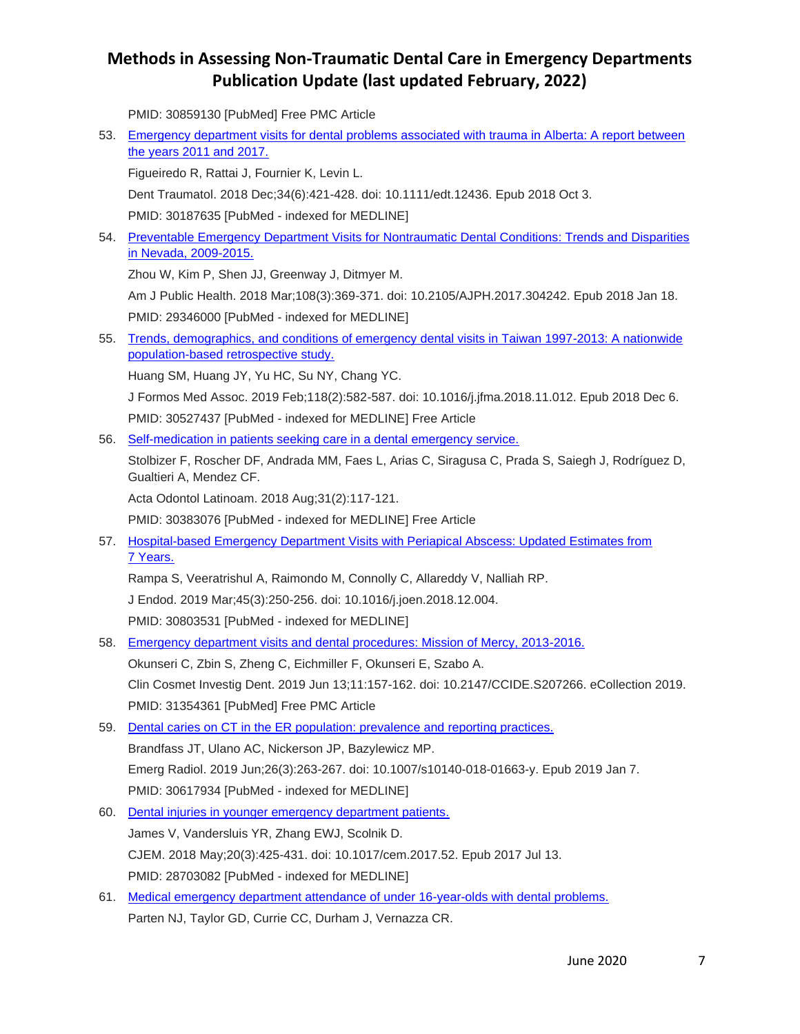PMID: 30859130 [PubMed] Free PMC Article

- 53. [Emergency department visits for dental problems associated with trauma in Alberta: A report between](https://www.ncbi.nlm.nih.gov/pubmed/30187635)  [the years 2011 and 2017.](https://www.ncbi.nlm.nih.gov/pubmed/30187635) Figueiredo R, Rattai J, Fournier K, Levin L. Dent Traumatol. 2018 Dec;34(6):421-428. doi: 10.1111/edt.12436. Epub 2018 Oct 3. PMID: 30187635 [PubMed - indexed for MEDLINE] 54. Preventable Emergency Department Visits for Nontraumatic Dental Conditions: Trends and Disparities [in Nevada, 2009-2015.](https://www.ncbi.nlm.nih.gov/pubmed/29346000) Zhou W, Kim P, Shen JJ, Greenway J, Ditmyer M. Am J Public Health. 2018 Mar;108(3):369-371. doi: 10.2105/AJPH.2017.304242. Epub 2018 Jan 18. PMID: 29346000 [PubMed - indexed for MEDLINE] 55. [Trends, demographics, and conditions of emergency dental visits in Taiwan 1997-2013: A nationwide](https://www.ncbi.nlm.nih.gov/pubmed/30527437)  [population-based retrospective study.](https://www.ncbi.nlm.nih.gov/pubmed/30527437) Huang SM, Huang JY, Yu HC, Su NY, Chang YC. J Formos Med Assoc. 2019 Feb;118(2):582-587. doi: 10.1016/j.jfma.2018.11.012. Epub 2018 Dec 6. PMID: 30527437 [PubMed - indexed for MEDLINE] Free Article 56. [Self-medication in patients seeking care in a dental emergency service.](https://www.ncbi.nlm.nih.gov/pubmed/30383076) Stolbizer F, Roscher DF, Andrada MM, Faes L, Arias C, Siragusa C, Prada S, Saiegh J, Rodríguez D, Gualtieri A, Mendez CF. Acta Odontol Latinoam. 2018 Aug;31(2):117-121. PMID: 30383076 [PubMed - indexed for MEDLINE] Free Article 57. [Hospital-based Emergency Department Visits with Periapical Abscess: Updated Estimates from](https://www.ncbi.nlm.nih.gov/pubmed/30803531)  7 [Years.](https://www.ncbi.nlm.nih.gov/pubmed/30803531) Rampa S, Veeratrishul A, Raimondo M, Connolly C, Allareddy V, Nalliah RP. J Endod. 2019 Mar;45(3):250-256. doi: 10.1016/j.joen.2018.12.004. PMID: 30803531 [PubMed - indexed for MEDLINE] 58. [Emergency department visits and dental procedures: Mission of Mercy, 2013-2016.](https://www.ncbi.nlm.nih.gov/pubmed/31354361) Okunseri C, Zbin S, Zheng C, Eichmiller F, Okunseri E, Szabo A. Clin Cosmet Investig Dent. 2019 Jun 13;11:157-162. doi: 10.2147/CCIDE.S207266. eCollection 2019. PMID: 31354361 [PubMed] Free PMC Article 59. [Dental caries on CT in the ER population: prevalence and reporting practices.](https://www.ncbi.nlm.nih.gov/pubmed/30617934) Brandfass JT, Ulano AC, Nickerson JP, Bazylewicz MP. Emerg Radiol. 2019 Jun;26(3):263-267. doi: 10.1007/s10140-018-01663-y. Epub 2019 Jan 7. PMID: 30617934 [PubMed - indexed for MEDLINE] 60. [Dental injuries in younger emergency department patients.](https://www.ncbi.nlm.nih.gov/pubmed/28703082) James V, Vandersluis YR, Zhang EWJ, Scolnik D. CJEM. 2018 May;20(3):425-431. doi: 10.1017/cem.2017.52. Epub 2017 Jul 13. PMID: 28703082 [PubMed - indexed for MEDLINE] 61. [Medical emergency department attendance of under 16-year-olds with dental problems.](https://www.ncbi.nlm.nih.gov/pubmed/30664266)
	- Parten NJ, Taylor GD, Currie CC, Durham J, Vernazza CR.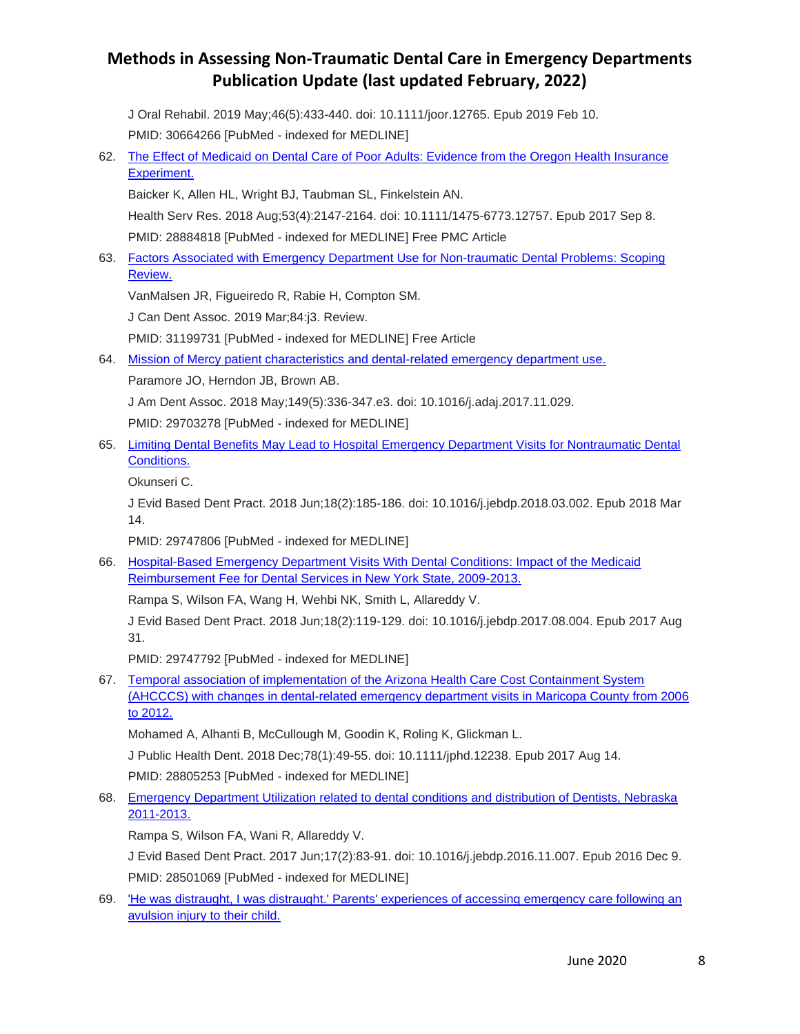J Oral Rehabil. 2019 May;46(5):433-440. doi: 10.1111/joor.12765. Epub 2019 Feb 10. PMID: 30664266 [PubMed - indexed for MEDLINE]

62. [The Effect of Medicaid on Dental Care of Poor Adults: Evidence from the Oregon Health Insurance](https://www.ncbi.nlm.nih.gov/pubmed/28884818)  [Experiment.](https://www.ncbi.nlm.nih.gov/pubmed/28884818)

Baicker K, Allen HL, Wright BJ, Taubman SL, Finkelstein AN.

Health Serv Res. 2018 Aug;53(4):2147-2164. doi: 10.1111/1475-6773.12757. Epub 2017 Sep 8.

PMID: 28884818 [PubMed - indexed for MEDLINE] Free PMC Article

63. [Factors Associated with Emergency Department Use for Non-traumatic Dental Problems: Scoping](https://www.ncbi.nlm.nih.gov/pubmed/31199731)  [Review.](https://www.ncbi.nlm.nih.gov/pubmed/31199731)

VanMalsen JR, Figueiredo R, Rabie H, Compton SM.

J Can Dent Assoc. 2019 Mar;84:j3. Review.

PMID: 31199731 [PubMed - indexed for MEDLINE] Free Article

64. [Mission of Mercy patient characteristics and dental-related emergency department use.](https://www.ncbi.nlm.nih.gov/pubmed/29703278)

Paramore JO, Herndon JB, Brown AB.

J Am Dent Assoc. 2018 May;149(5):336-347.e3. doi: 10.1016/j.adaj.2017.11.029.

PMID: 29703278 [PubMed - indexed for MEDLINE]

65. [Limiting Dental Benefits May Lead to Hospital Emergency Department Visits for Nontraumatic Dental](https://www.ncbi.nlm.nih.gov/pubmed/29747806)  [Conditions.](https://www.ncbi.nlm.nih.gov/pubmed/29747806)

Okunseri C.

J Evid Based Dent Pract. 2018 Jun;18(2):185-186. doi: 10.1016/j.jebdp.2018.03.002. Epub 2018 Mar 14.

PMID: 29747806 [PubMed - indexed for MEDLINE]

66. [Hospital-Based Emergency Department Visits With Dental Conditions: Impact of the Medicaid](https://www.ncbi.nlm.nih.gov/pubmed/29747792)  [Reimbursement Fee for Dental Services in New York State, 2009-2013.](https://www.ncbi.nlm.nih.gov/pubmed/29747792)

Rampa S, Wilson FA, Wang H, Wehbi NK, Smith L, Allareddy V.

J Evid Based Dent Pract. 2018 Jun;18(2):119-129. doi: 10.1016/j.jebdp.2017.08.004. Epub 2017 Aug 31.

PMID: 29747792 [PubMed - indexed for MEDLINE]

67. [Temporal association of implementation of the Arizona Health Care Cost Containment System](https://www.ncbi.nlm.nih.gov/pubmed/28805253)  [\(AHCCCS\) with changes in dental-related emergency department visits in Maricopa County from 2006](https://www.ncbi.nlm.nih.gov/pubmed/28805253)  [to 2012.](https://www.ncbi.nlm.nih.gov/pubmed/28805253)

Mohamed A, Alhanti B, McCullough M, Goodin K, Roling K, Glickman L.

J Public Health Dent. 2018 Dec;78(1):49-55. doi: 10.1111/jphd.12238. Epub 2017 Aug 14.

PMID: 28805253 [PubMed - indexed for MEDLINE]

68. [Emergency Department Utilization related to dental conditions and distribution of Dentists, Nebraska](https://www.ncbi.nlm.nih.gov/pubmed/28501069)  [2011-2013.](https://www.ncbi.nlm.nih.gov/pubmed/28501069)

Rampa S, Wilson FA, Wani R, Allareddy V.

J Evid Based Dent Pract. 2017 Jun;17(2):83-91. doi: 10.1016/j.jebdp.2016.11.007. Epub 2016 Dec 9. PMID: 28501069 [PubMed - indexed for MEDLINE]

69. ['He was distraught, I was distraught.' Parents' experiences of accessing emergency care following an](https://www.ncbi.nlm.nih.gov/pubmed/31654007)  [avulsion injury to their child.](https://www.ncbi.nlm.nih.gov/pubmed/31654007)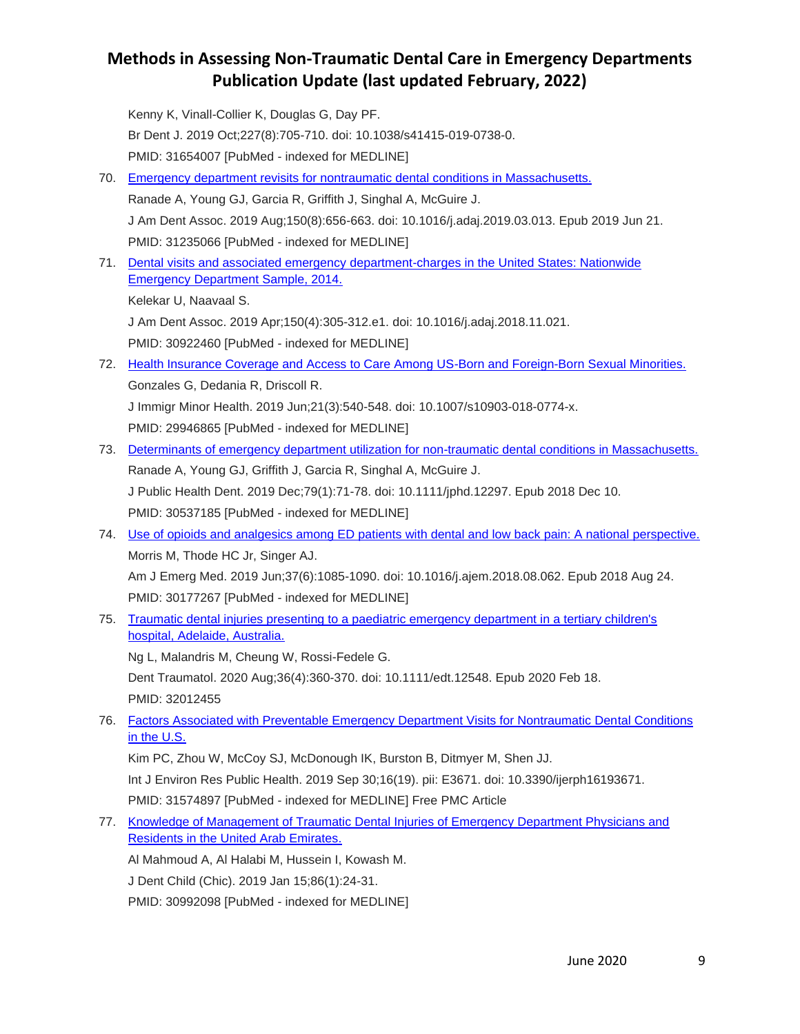Kenny K, Vinall-Collier K, Douglas G, Day PF. Br Dent J. 2019 Oct;227(8):705-710. doi: 10.1038/s41415-019-0738-0. PMID: 31654007 [PubMed - indexed for MEDLINE] 70. [Emergency department revisits for nontraumatic dental conditions in Massachusetts.](https://www.ncbi.nlm.nih.gov/pubmed/31235066) Ranade A, Young GJ, Garcia R, Griffith J, Singhal A, McGuire J. J Am Dent Assoc. 2019 Aug;150(8):656-663. doi: 10.1016/j.adaj.2019.03.013. Epub 2019 Jun 21. PMID: 31235066 [PubMed - indexed for MEDLINE] 71. [Dental visits and associated emergency department-charges in the United States: Nationwide](https://www.ncbi.nlm.nih.gov/pubmed/30922460)  [Emergency Department Sample, 2014.](https://www.ncbi.nlm.nih.gov/pubmed/30922460) Kelekar U, Naavaal S. J Am Dent Assoc. 2019 Apr;150(4):305-312.e1. doi: 10.1016/j.adaj.2018.11.021. PMID: 30922460 [PubMed - indexed for MEDLINE] 72. [Health Insurance Coverage and Access to Care Among US-Born and Foreign-Born Sexual Minorities.](https://www.ncbi.nlm.nih.gov/pubmed/29946865) Gonzales G, Dedania R, Driscoll R. J Immigr Minor Health. 2019 Jun;21(3):540-548. doi: 10.1007/s10903-018-0774-x. PMID: 29946865 [PubMed - indexed for MEDLINE] 73. [Determinants of emergency department utilization for non-traumatic dental conditions in Massachusetts.](https://www.ncbi.nlm.nih.gov/pubmed/30537185) Ranade A, Young GJ, Griffith J, Garcia R, Singhal A, McGuire J. J Public Health Dent. 2019 Dec;79(1):71-78. doi: 10.1111/jphd.12297. Epub 2018 Dec 10. PMID: 30537185 [PubMed - indexed for MEDLINE] 74. [Use of opioids and analgesics among ED patients with dental and low back pain: A national perspective.](https://www.ncbi.nlm.nih.gov/pubmed/30177267) Morris M, Thode HC Jr, Singer AJ. Am J Emerg Med. 2019 Jun;37(6):1085-1090. doi: 10.1016/j.ajem.2018.08.062. Epub 2018 Aug 24. PMID: 30177267 [PubMed - indexed for MEDLINE] 75. [Traumatic dental injuries presenting to a paediatric emergency department in a tertiary children's](https://www.ncbi.nlm.nih.gov/pubmed/32012455)  [hospital, Adelaide, Australia.](https://www.ncbi.nlm.nih.gov/pubmed/32012455) Ng L, Malandris M, Cheung W, Rossi-Fedele G. Dent Traumatol. 2020 Aug;36(4):360-370. doi: 10.1111/edt.12548. Epub 2020 Feb 18. PMID: 32012455 76. [Factors Associated with Preventable Emergency Department Visits for Nontraumatic Dental Conditions](https://www.ncbi.nlm.nih.gov/pubmed/31574897)  [in the U.S.](https://www.ncbi.nlm.nih.gov/pubmed/31574897) Kim PC, Zhou W, McCoy SJ, McDonough IK, Burston B, Ditmyer M, Shen JJ. Int J Environ Res Public Health. 2019 Sep 30;16(19). pii: E3671. doi: 10.3390/ijerph16193671. PMID: 31574897 [PubMed - indexed for MEDLINE] Free PMC Article 77. [Knowledge of Management of Traumatic Dental Injuries of Emergency Department Physicians and](https://www.ncbi.nlm.nih.gov/pubmed/30992098)  [Residents in the United Arab Emirates.](https://www.ncbi.nlm.nih.gov/pubmed/30992098) Al Mahmoud A, Al Halabi M, Hussein I, Kowash M. J Dent Child (Chic). 2019 Jan 15;86(1):24-31.

PMID: 30992098 [PubMed - indexed for MEDLINE]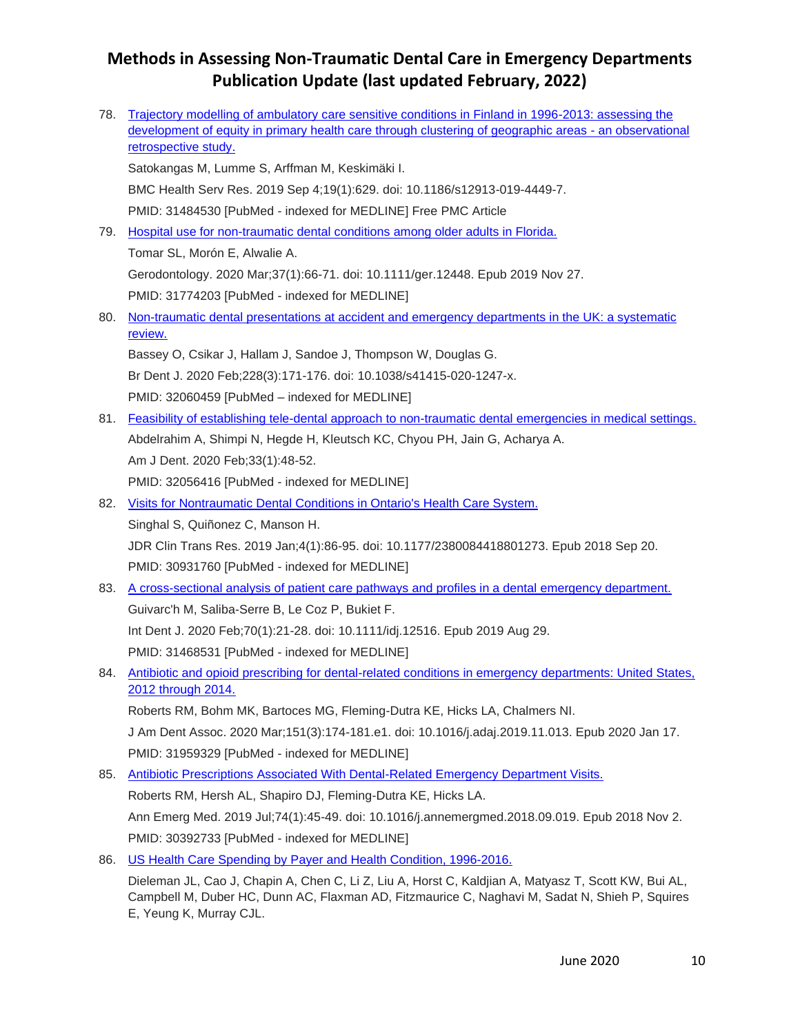| 78. | Trajectory modelling of ambulatory care sensitive conditions in Finland in 1996-2013: assessing the<br>development of equity in primary health care through clustering of geographic areas - an observational |
|-----|---------------------------------------------------------------------------------------------------------------------------------------------------------------------------------------------------------------|
|     | retrospective study.                                                                                                                                                                                          |
|     | Satokangas M, Lumme S, Arffman M, Keskimäki I.                                                                                                                                                                |
|     | BMC Health Serv Res. 2019 Sep 4;19(1):629. doi: 10.1186/s12913-019-4449-7.                                                                                                                                    |
|     | PMID: 31484530 [PubMed - indexed for MEDLINE] Free PMC Article                                                                                                                                                |
| 79. | Hospital use for non-traumatic dental conditions among older adults in Florida.                                                                                                                               |
|     | Tomar SL, Morón E, Alwalie A.                                                                                                                                                                                 |
|     | Gerodontology. 2020 Mar;37(1):66-71. doi: 10.1111/ger.12448. Epub 2019 Nov 27.                                                                                                                                |
|     | PMID: 31774203 [PubMed - indexed for MEDLINE]                                                                                                                                                                 |
| 80. | Non-traumatic dental presentations at accident and emergency departments in the UK: a systematic                                                                                                              |
|     | review.                                                                                                                                                                                                       |
|     | Bassey O, Csikar J, Hallam J, Sandoe J, Thompson W, Douglas G.                                                                                                                                                |
|     | Br Dent J. 2020 Feb; 228(3): 171-176. doi: 10.1038/s41415-020-1247-x.                                                                                                                                         |
|     | PMID: 32060459 [PubMed - indexed for MEDLINE]                                                                                                                                                                 |
| 81. | Feasibility of establishing tele-dental approach to non-traumatic dental emergencies in medical settings.                                                                                                     |
|     | Abdelrahim A, Shimpi N, Hegde H, Kleutsch KC, Chyou PH, Jain G, Acharya A.                                                                                                                                    |
|     | Am J Dent. 2020 Feb;33(1):48-52.                                                                                                                                                                              |
|     | PMID: 32056416 [PubMed - indexed for MEDLINE]                                                                                                                                                                 |
| 82. | Visits for Nontraumatic Dental Conditions in Ontario's Health Care System.                                                                                                                                    |
|     | Singhal S, Quiñonez C, Manson H.                                                                                                                                                                              |
|     | JDR Clin Trans Res. 2019 Jan;4(1):86-95. doi: 10.1177/2380084418801273. Epub 2018 Sep 20.                                                                                                                     |
|     | PMID: 30931760 [PubMed - indexed for MEDLINE]                                                                                                                                                                 |
| 83. | A cross-sectional analysis of patient care pathways and profiles in a dental emergency department.                                                                                                            |
|     | Guivarc'h M, Saliba-Serre B, Le Coz P, Bukiet F.                                                                                                                                                              |
|     | Int Dent J. 2020 Feb;70(1):21-28. doi: 10.1111/idj.12516. Epub 2019 Aug 29.                                                                                                                                   |
|     | PMID: 31468531 [PubMed - indexed for MEDLINE]                                                                                                                                                                 |
| 84. | Antibiotic and opioid prescribing for dental-related conditions in emergency departments: United States,<br>2012 through 2014.                                                                                |
|     | Roberts RM, Bohm MK, Bartoces MG, Fleming-Dutra KE, Hicks LA, Chalmers NI.                                                                                                                                    |
|     | J Am Dent Assoc. 2020 Mar;151(3):174-181.e1. doi: 10.1016/j.adaj.2019.11.013. Epub 2020 Jan 17.                                                                                                               |
|     | PMID: 31959329 [PubMed - indexed for MEDLINE]                                                                                                                                                                 |
| 85. | Antibiotic Prescriptions Associated With Dental-Related Emergency Department Visits.                                                                                                                          |
|     | Roberts RM, Hersh AL, Shapiro DJ, Fleming-Dutra KE, Hicks LA.                                                                                                                                                 |
|     | Ann Emerg Med. 2019 Jul;74(1):45-49. doi: 10.1016/j.annemergmed.2018.09.019. Epub 2018 Nov 2.                                                                                                                 |
|     | PMID: 30392733 [PubMed - indexed for MEDLINE]                                                                                                                                                                 |
| 86. | US Health Care Spending by Payer and Health Condition, 1996-2016.                                                                                                                                             |
|     | $C_{22}$ $C_{22}$ $C_{23}$ $C_{24}$ $C_{25}$ $C_{21}$ $C_{22}$ $C_{23}$ $C_{24}$ $C_{25}$ $C_{26}$ $C_{27}$ $C_{28}$<br>$L_{\text{out}} \cap L_{\text{in}}$                                                   |

Dieleman JL, Cao J, Chapin A, Chen C, Li Z, Liu A, Horst C, Kaldjian A, Matyasz T, Scott KW, Bui AL, Campbell M, Duber HC, Dunn AC, Flaxman AD, Fitzmaurice C, Naghavi M, Sadat N, Shieh P, Squires E, Yeung K, Murray CJL.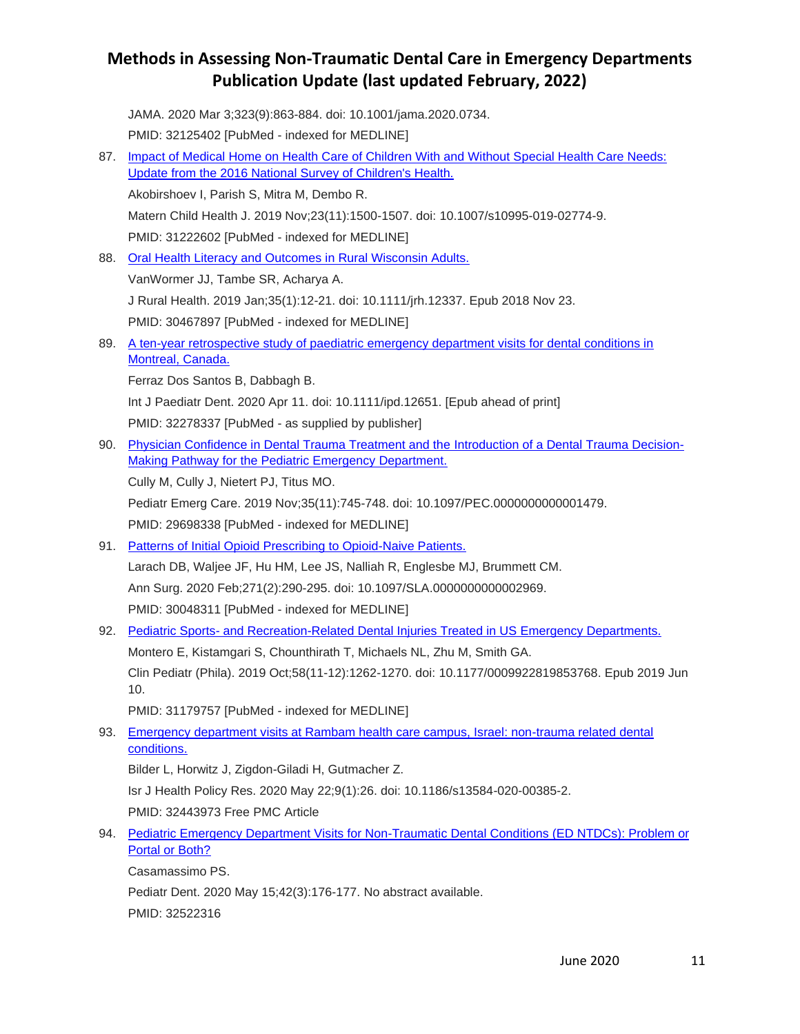JAMA. 2020 Mar 3;323(9):863-884. doi: 10.1001/jama.2020.0734. PMID: 32125402 [PubMed - indexed for MEDLINE]

87. [Impact of Medical Home on Health Care of Children With and Without Special Health Care Needs:](https://www.ncbi.nlm.nih.gov/pubmed/31222602)  [Update from the 2016 National Survey of Children's Health.](https://www.ncbi.nlm.nih.gov/pubmed/31222602) Akobirshoev I, Parish S, Mitra M, Dembo R. Matern Child Health J. 2019 Nov;23(11):1500-1507. doi: 10.1007/s10995-019-02774-9. PMID: 31222602 [PubMed - indexed for MEDLINE] 88. [Oral Health Literacy and Outcomes in Rural Wisconsin Adults.](https://www.ncbi.nlm.nih.gov/pubmed/30467897) VanWormer JJ, Tambe SR, Acharya A. J Rural Health. 2019 Jan;35(1):12-21. doi: 10.1111/jrh.12337. Epub 2018 Nov 23. PMID: 30467897 [PubMed - indexed for MEDLINE] 89. [A ten-year retrospective study of paediatric emergency department visits for dental conditions in](https://www.ncbi.nlm.nih.gov/pubmed/32278337)  [Montreal, Canada.](https://www.ncbi.nlm.nih.gov/pubmed/32278337) Ferraz Dos Santos B, Dabbagh B. Int J Paediatr Dent. 2020 Apr 11. doi: 10.1111/ipd.12651. [Epub ahead of print] PMID: 32278337 [PubMed - as supplied by publisher] 90. [Physician Confidence in Dental Trauma Treatment and the Introduction of a Dental Trauma Decision-](https://www.ncbi.nlm.nih.gov/pubmed/29698338)[Making Pathway for the Pediatric Emergency Department.](https://www.ncbi.nlm.nih.gov/pubmed/29698338) Cully M, Cully J, Nietert PJ, Titus MO. Pediatr Emerg Care. 2019 Nov;35(11):745-748. doi: 10.1097/PEC.0000000000001479. PMID: 29698338 [PubMed - indexed for MEDLINE] 91. [Patterns of Initial Opioid Prescribing to Opioid-Naive Patients.](https://www.ncbi.nlm.nih.gov/pubmed/30048311) Larach DB, Waljee JF, Hu HM, Lee JS, Nalliah R, Englesbe MJ, Brummett CM. Ann Surg. 2020 Feb;271(2):290-295. doi: 10.1097/SLA.0000000000002969. PMID: 30048311 [PubMed - indexed for MEDLINE] 92. Pediatric Sports- [and Recreation-Related Dental Injuries Treated in US Emergency Departments.](https://www.ncbi.nlm.nih.gov/pubmed/31179757) Montero E, Kistamgari S, Chounthirath T, Michaels NL, Zhu M, Smith GA. Clin Pediatr (Phila). 2019 Oct;58(11-12):1262-1270. doi: 10.1177/0009922819853768. Epub 2019 Jun 10. PMID: 31179757 [PubMed - indexed for MEDLINE] 93. Emergency department visits at Rambam health care campus, Israel: non-trauma related dental [conditions.](https://www.ncbi.nlm.nih.gov/pubmed/32443973) Bilder L, Horwitz J, Zigdon-Giladi H, Gutmacher Z. Isr J Health Policy Res. 2020 May 22;9(1):26. doi: 10.1186/s13584-020-00385-2. PMID: 32443973 Free PMC Article 94. [Pediatric Emergency Department Visits for Non-Traumatic Dental Conditions \(ED NTDCs\): Problem or](https://www.ncbi.nlm.nih.gov/pubmed/32522316)  [Portal or Both?](https://www.ncbi.nlm.nih.gov/pubmed/32522316) Casamassimo PS.

Pediatr Dent. 2020 May 15;42(3):176-177. No abstract available. PMID: 32522316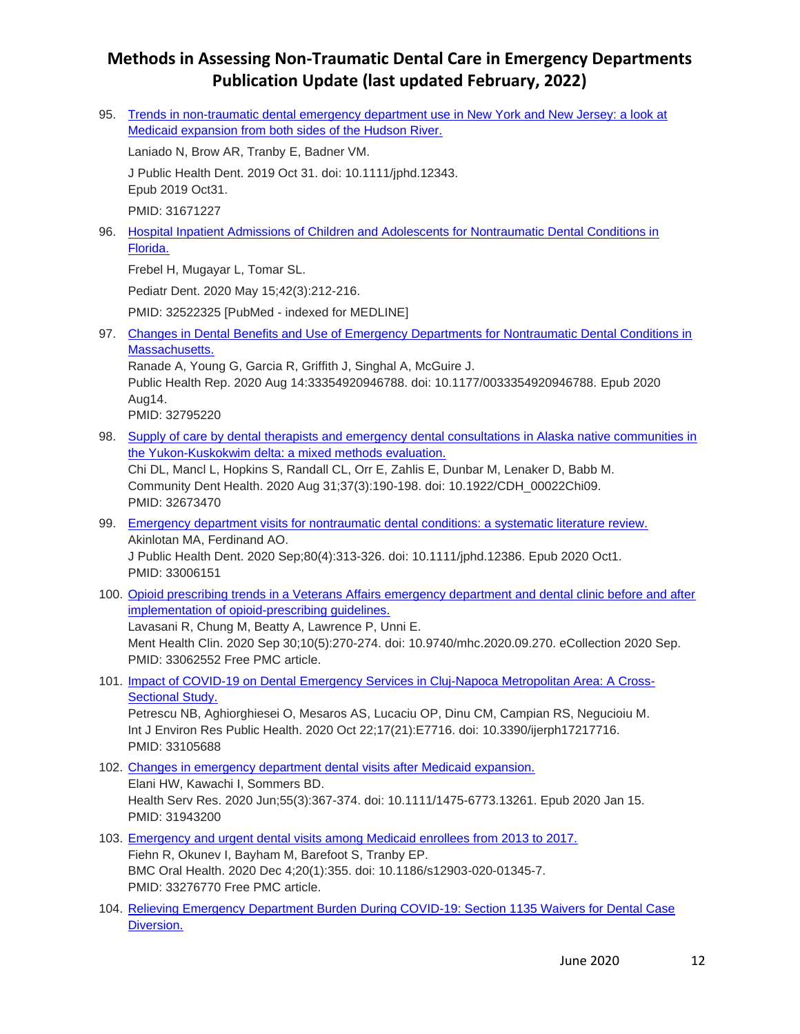95. [Trends in non-traumatic dental emergency department use in New York and New Jersey: a look at](https://www.ncbi.nlm.nih.gov/pubmed/31671227)  [Medicaid expansion from both sides of the Hudson River.](https://www.ncbi.nlm.nih.gov/pubmed/31671227)

Laniado N, Brow AR, Tranby E, Badner VM.

J Public Health Dent. 2019 Oct 31. doi: 10.1111/jphd.12343. Epub 2019 Oct31.

PMID: 31671227

96. [Hospital Inpatient Admissions of Children and Adolescents for Nontraumatic Dental Conditions in](https://www.ncbi.nlm.nih.gov/pubmed/32522325)  [Florida.](https://www.ncbi.nlm.nih.gov/pubmed/32522325)

Frebel H, Mugayar L, Tomar SL.

Pediatr Dent. 2020 May 15;42(3):212-216.

PMID: 32522325 [PubMed - indexed for MEDLINE]

97. [Changes in Dental Benefits and Use of Emergency Departments for Nontraumatic Dental Conditions in](https://pubmed.ncbi.nlm.nih.gov/32795220/)  [Massachusetts.](https://pubmed.ncbi.nlm.nih.gov/32795220/)

Ranade A, Young G, Garcia R, Griffith J, Singhal A, McGuire J. Public Health Rep. 2020 Aug 14:33354920946788. doi: 10.1177/0033354920946788. Epub 2020 Aug14.

PMID: 32795220

98. [Supply of care by dental therapists and emergency dental consultations in Alaska native communities in](https://pubmed.ncbi.nlm.nih.gov/32673470/)  [the Yukon-Kuskokwim delta: a mixed methods evaluation.](https://pubmed.ncbi.nlm.nih.gov/32673470/)

Chi DL, Mancl L, Hopkins S, Randall CL, Orr E, Zahlis E, Dunbar M, Lenaker D, Babb M. Community Dent Health. 2020 Aug 31;37(3):190-198. doi: 10.1922/CDH\_00022Chi09. PMID: 32673470

- 99. [Emergency department visits for nontraumatic dental conditions: a systematic literature review.](https://pubmed.ncbi.nlm.nih.gov/33006151/) Akinlotan MA, Ferdinand AO. J Public Health Dent. 2020 Sep;80(4):313-326. doi: 10.1111/jphd.12386. Epub 2020 Oct1. PMID: 33006151
- 100. [Opioid prescribing trends in a Veterans Affairs emergency department and dental clinic before and after](https://pubmed.ncbi.nlm.nih.gov/33062552/)  implementation of opioid-prescribing quidelines. Lavasani R, Chung M, Beatty A, Lawrence P, Unni E. Ment Health Clin. 2020 Sep 30;10(5):270-274. doi: 10.9740/mhc.2020.09.270. eCollection 2020 Sep. PMID: 33062552 Free PMC article.
- 101. [Impact of COVID-19 on Dental Emergency Services in Cluj-Napoca Metropolitan Area: A Cross-](https://pubmed.ncbi.nlm.nih.gov/33105688/)**[Sectional Study.](https://pubmed.ncbi.nlm.nih.gov/33105688/)**

Petrescu NB, Aghiorghiesei O, Mesaros AS, Lucaciu OP, Dinu CM, Campian RS, Negucioiu M. Int J Environ Res Public Health. 2020 Oct 22;17(21):E7716. doi: 10.3390/ijerph17217716. PMID: 33105688

- 102. [Changes in emergency department dental visits after Medicaid expansion.](https://pubmed.ncbi.nlm.nih.gov/31943200/) Elani HW, Kawachi I, Sommers BD. Health Serv Res. 2020 Jun;55(3):367-374. doi: 10.1111/1475-6773.13261. Epub 2020 Jan 15. PMID: 31943200
- 103. [Emergency and urgent dental visits among Medicaid enrollees from 2013 to 2017.](https://pubmed.ncbi.nlm.nih.gov/33276770/) Fiehn R, Okunev I, Bayham M, Barefoot S, Tranby EP. BMC Oral Health. 2020 Dec 4;20(1):355. doi: 10.1186/s12903-020-01345-7. PMID: 33276770 Free PMC article.
- 104. [Relieving Emergency Department Burden During COVID-19: Section 1135 Waivers for Dental Case](https://pubmed.ncbi.nlm.nih.gov/32777246/)  [Diversion.](https://pubmed.ncbi.nlm.nih.gov/32777246/)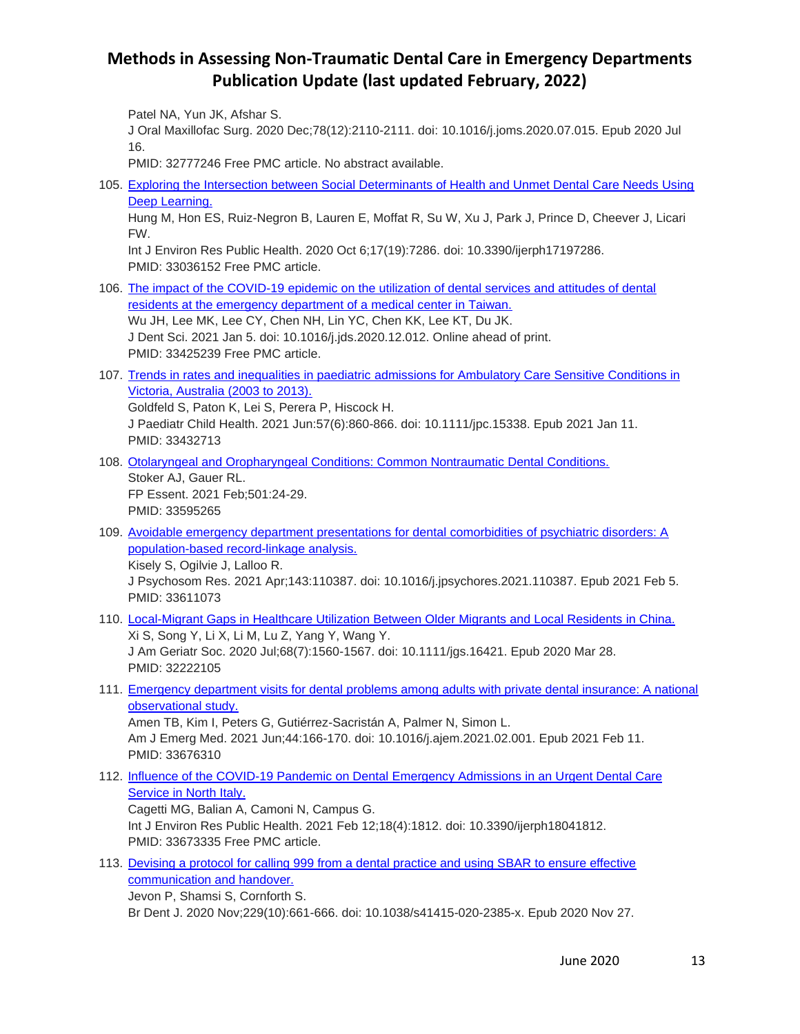Patel NA, Yun JK, Afshar S.

J Oral Maxillofac Surg. 2020 Dec;78(12):2110-2111. doi: 10.1016/j.joms.2020.07.015. Epub 2020 Jul 16.

PMID: 32777246 Free PMC article. No abstract available.

105. [Exploring the Intersection between Social Determinants of Health and Unmet Dental Care Needs Using](https://pubmed.ncbi.nlm.nih.gov/33036152/)  [Deep Learning.](https://pubmed.ncbi.nlm.nih.gov/33036152/)

Hung M, Hon ES, Ruiz-Negron B, Lauren E, Moffat R, Su W, Xu J, Park J, Prince D, Cheever J, Licari FW.

Int J Environ Res Public Health. 2020 Oct 6;17(19):7286. doi: 10.3390/ijerph17197286. PMID: 33036152 Free PMC article.

- 106. The impact of [the COVID-19 epidemic on the utilization of dental services and attitudes of dental](https://pubmed.ncbi.nlm.nih.gov/33425239/)  [residents at the emergency department of a medical center in Taiwan.](https://pubmed.ncbi.nlm.nih.gov/33425239/) Wu JH, Lee MK, Lee CY, Chen NH, Lin YC, Chen KK, Lee KT, Du JK. J Dent Sci. 2021 Jan 5. doi: 10.1016/j.jds.2020.12.012. Online ahead of print. PMID: 33425239 Free PMC article.
- 107. Trends in rates and inequalities in paediatric [admissions for Ambulatory Care Sensitive Conditions in](https://pubmed.ncbi.nlm.nih.gov/33432713/)  [Victoria, Australia \(2003 to 2013\).](https://pubmed.ncbi.nlm.nih.gov/33432713/)

Goldfeld S, Paton K, Lei S, Perera P, Hiscock H.

J Paediatr Child Health. 2021 Jun:57(6):860-866. doi: 10.1111/jpc.15338. Epub 2021 Jan 11. PMID: 33432713

- 108. [Otolaryngeal and Oropharyngeal Conditions: Common Nontraumatic Dental Conditions.](https://pubmed.ncbi.nlm.nih.gov/33595265/) Stoker AJ, Gauer RL. FP Essent. 2021 Feb;501:24-29. PMID: 33595265
- 109. Avoidable emergency department presentations for dental comorbidities of psychiatric disorders: A [population-based record-linkage analysis.](https://pubmed.ncbi.nlm.nih.gov/33611073/)

Kisely S, Ogilvie J, Lalloo R. J Psychosom Res. 2021 Apr;143:110387. doi: 10.1016/j.jpsychores.2021.110387. Epub 2021 Feb 5. PMID: 33611073

- 110. [Local-Migrant Gaps in Healthcare Utilization Between Older Migrants and Local Residents in China.](https://pubmed.ncbi.nlm.nih.gov/32222105/) Xi S, Song Y, Li X, Li M, Lu Z, Yang Y, Wang Y. J Am Geriatr Soc. 2020 Jul;68(7):1560-1567. doi: 10.1111/jgs.16421. Epub 2020 Mar 28. PMID: 32222105
- 111. [Emergency department visits for dental problems among adults with private dental insurance: A national](https://pubmed.ncbi.nlm.nih.gov/33676310/)  [observational study.](https://pubmed.ncbi.nlm.nih.gov/33676310/)

Amen TB, Kim I, Peters G, Gutiérrez-Sacristán A, Palmer N, Simon L. Am J Emerg Med. 2021 Jun;44:166-170. doi: 10.1016/j.ajem.2021.02.001. Epub 2021 Feb 11. PMID: 33676310

112. [Influence of the COVID-19 Pandemic on Dental Emergency Admissions in an Urgent Dental Care](https://pubmed.ncbi.nlm.nih.gov/33673335/)  [Service in North Italy.](https://pubmed.ncbi.nlm.nih.gov/33673335/)

Cagetti MG, Balian A, Camoni N, Campus G. Int J Environ Res Public Health. 2021 Feb 12;18(4):1812. doi: 10.3390/ijerph18041812. PMID: 33673335 Free PMC article.

113. [Devising a protocol for calling 999 from a dental practice and using SBAR to ensure effective](https://pubmed.ncbi.nlm.nih.gov/33247256/)  [communication and handover.](https://pubmed.ncbi.nlm.nih.gov/33247256/) Jevon P, Shamsi S, Cornforth S.

Br Dent J. 2020 Nov;229(10):661-666. doi: 10.1038/s41415-020-2385-x. Epub 2020 Nov 27.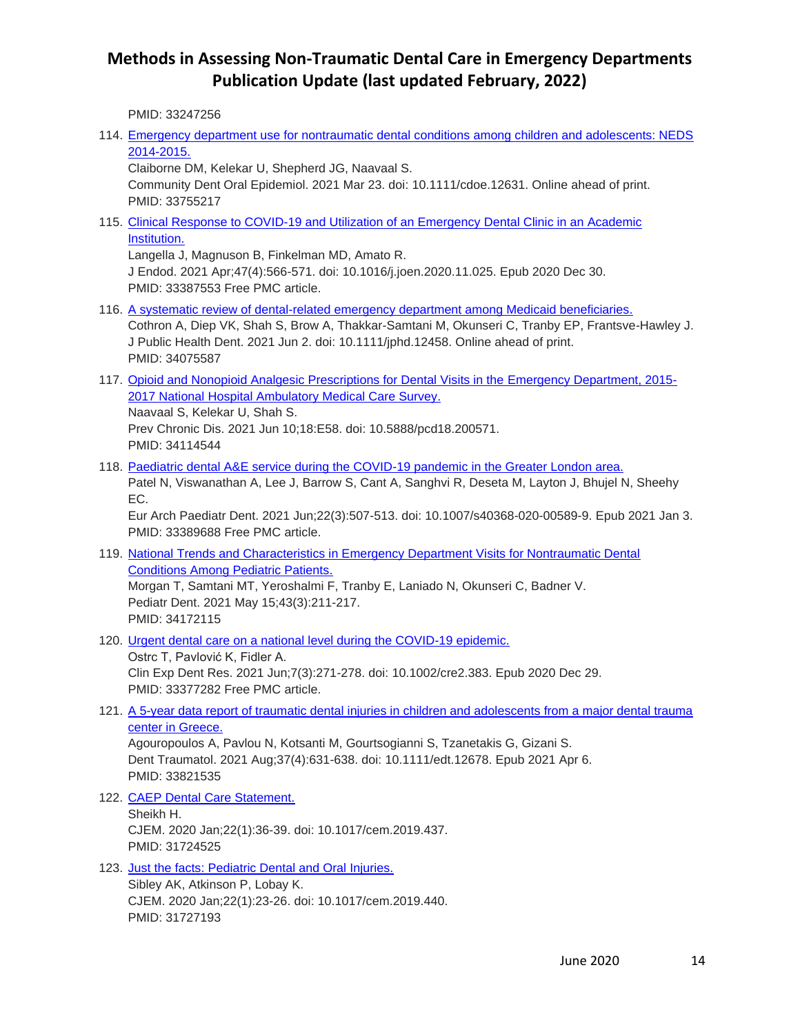PMID: 33247256

114. [Emergency department use for nontraumatic dental conditions among children and adolescents: NEDS](https://pubmed.ncbi.nlm.nih.gov/33755217/)  [2014-2015.](https://pubmed.ncbi.nlm.nih.gov/33755217/)

Claiborne DM, Kelekar U, Shepherd JG, Naavaal S.

Community Dent Oral Epidemiol. 2021 Mar 23. doi: 10.1111/cdoe.12631. Online ahead of print. PMID: 33755217

115. [Clinical Response to COVID-19 and Utilization of an Emergency Dental Clinic in an Academic](https://pubmed.ncbi.nlm.nih.gov/33387553/)  [Institution.](https://pubmed.ncbi.nlm.nih.gov/33387553/)

Langella J, Magnuson B, Finkelman MD, Amato R.

J Endod. 2021 Apr;47(4):566-571. doi: 10.1016/j.joen.2020.11.025. Epub 2020 Dec 30. PMID: 33387553 Free PMC article.

- 116. [A systematic review of dental-related emergency department among Medicaid beneficiaries.](https://pubmed.ncbi.nlm.nih.gov/34075587/) Cothron A, Diep VK, Shah S, Brow A, Thakkar-Samtani M, Okunseri C, Tranby EP, Frantsve-Hawley J. J Public Health Dent. 2021 Jun 2. doi: 10.1111/jphd.12458. Online ahead of print. PMID: 34075587
- 117. [Opioid and Nonopioid Analgesic Prescriptions for Dental Visits in the Emergency Department, 2015-](https://pubmed.ncbi.nlm.nih.gov/34114544/) [2017 National Hospital Ambulatory Medical Care Survey.](https://pubmed.ncbi.nlm.nih.gov/34114544/) Naavaal S, Kelekar U, Shah S.

Prev Chronic Dis. 2021 Jun 10;18:E58. doi: 10.5888/pcd18.200571. PMID: 34114544

118. [Paediatric dental A&E service during the COVID-19 pandemic in the Greater London area.](https://pubmed.ncbi.nlm.nih.gov/33389688/) Patel N, Viswanathan A, Lee J, Barrow S, Cant A, Sanghvi R, Deseta M, Layton J, Bhujel N, Sheehy EC.

Eur Arch Paediatr Dent. 2021 Jun;22(3):507-513. doi: 10.1007/s40368-020-00589-9. Epub 2021 Jan 3. PMID: 33389688 Free PMC article.

- 119. [National Trends and Characteristics in Emergency Department Visits for Nontraumatic Dental](https://pubmed.ncbi.nlm.nih.gov/34172115/)  [Conditions Among Pediatric Patients.](https://pubmed.ncbi.nlm.nih.gov/34172115/) Morgan T, Samtani MT, Yeroshalmi F, Tranby E, Laniado N, Okunseri C, Badner V. Pediatr Dent. 2021 May 15;43(3):211-217. PMID: 34172115
- 120. [Urgent dental care on a national level during the COVID-19 epidemic.](https://pubmed.ncbi.nlm.nih.gov/33377282/)

Ostrc T, Pavlović K, Fidler A. Clin Exp Dent Res. 2021 Jun;7(3):271-278. doi: 10.1002/cre2.383. Epub 2020 Dec 29. PMID: 33377282 Free PMC article.

121. A 5-year data report of traumatic dental injuries in children and adolescents from a major dental trauma [center in Greece.](https://pubmed.ncbi.nlm.nih.gov/33821535/)

Agouropoulos A, Pavlou N, Kotsanti M, Gourtsogianni S, Tzanetakis G, Gizani S. Dent Traumatol. 2021 Aug;37(4):631-638. doi: 10.1111/edt.12678. Epub 2021 Apr 6. PMID: 33821535

122. [CAEP Dental Care Statement.](https://pubmed.ncbi.nlm.nih.gov/31724525/)

Sheikh H. CJEM. 2020 Jan;22(1):36-39. doi: 10.1017/cem.2019.437. PMID: 31724525

123. [Just the facts: Pediatric Dental and Oral Injuries.](https://pubmed.ncbi.nlm.nih.gov/31727193/) Sibley AK, Atkinson P, Lobay K. CJEM. 2020 Jan;22(1):23-26. doi: 10.1017/cem.2019.440. PMID: 31727193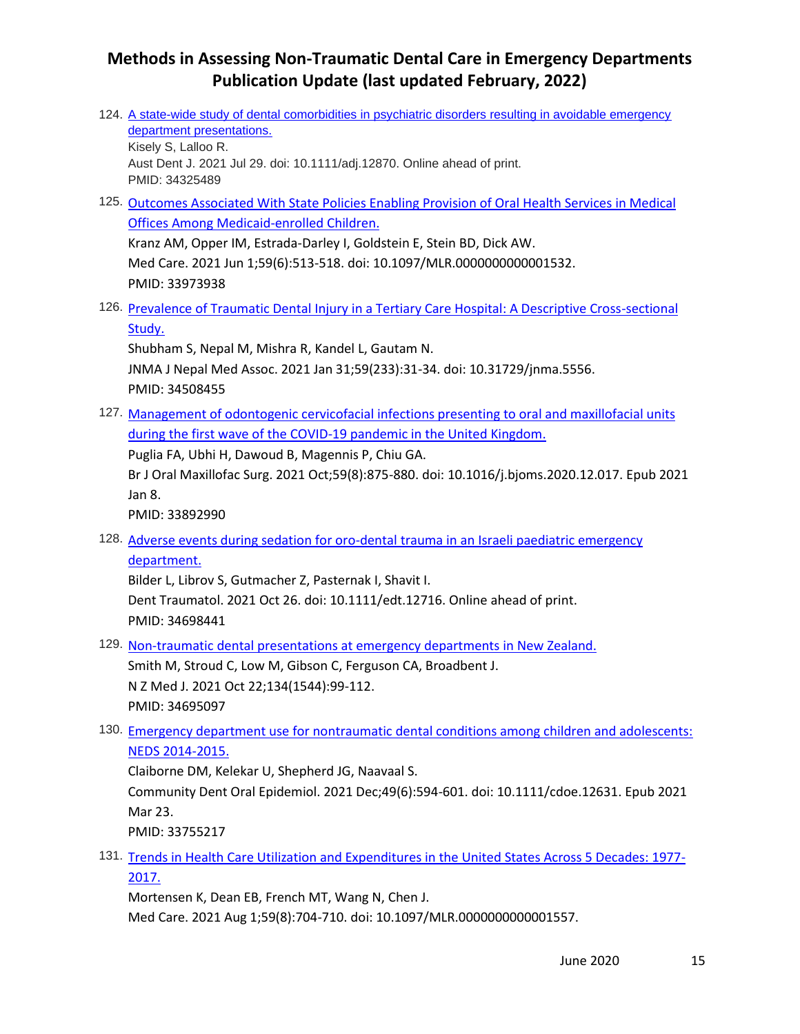124. [A state-wide study of dental comorbidities in psychiatric disorders resulting in avoidable emergency](https://pubmed.ncbi.nlm.nih.gov/34325489/)  [department presentations.](https://pubmed.ncbi.nlm.nih.gov/34325489/) Kisely S, Lalloo R. Aust Dent J. 2021 Jul 29. doi: 10.1111/adj.12870. Online ahead of print. PMID: 34325489 125. [Outcomes Associated With State Policies Enabling Provision of Oral Health Services in Medical](https://pubmed.ncbi.nlm.nih.gov/33973938/)  [Offices Among Medicaid-enrolled Children.](https://pubmed.ncbi.nlm.nih.gov/33973938/) Kranz AM, Opper IM, Estrada-Darley I, Goldstein E, Stein BD, Dick AW. Med Care. 2021 Jun 1;59(6):513-518. doi: 10.1097/MLR.0000000000001532. PMID: 33973938 126. [Prevalence of Traumatic Dental Injury in a Tertiary Care Hospital: A Descriptive Cross-sectional](https://pubmed.ncbi.nlm.nih.gov/34508455/)  [Study.](https://pubmed.ncbi.nlm.nih.gov/34508455/) Shubham S, Nepal M, Mishra R, Kandel L, Gautam N. JNMA J Nepal Med Assoc. 2021 Jan 31;59(233):31-34. doi: 10.31729/jnma.5556. PMID: 34508455 127. [Management of odontogenic cervicofacial infections presenting to oral and maxillofacial units](https://pubmed.ncbi.nlm.nih.gov/33892990/)  [during the first wave of the COVID-19 pandemic in the United Kingdom.](https://pubmed.ncbi.nlm.nih.gov/33892990/) Puglia FA, Ubhi H, Dawoud B, Magennis P, Chiu GA. Br J Oral Maxillofac Surg. 2021 Oct;59(8):875-880. doi: 10.1016/j.bjoms.2020.12.017. Epub 2021 Jan 8. PMID: 33892990 128. [Adverse events during sedation for oro-dental trauma in an Israeli paediatric emergency](https://pubmed.ncbi.nlm.nih.gov/34698441/)  [department.](https://pubmed.ncbi.nlm.nih.gov/34698441/) Bilder L, Librov S, Gutmacher Z, Pasternak I, Shavit I. Dent Traumatol. 2021 Oct 26. doi: 10.1111/edt.12716. Online ahead of print. PMID: 34698441 129. [Non-traumatic dental presentations at emergency departments in New Zealand.](https://pubmed.ncbi.nlm.nih.gov/34695097/) Smith M, Stroud C, Low M, Gibson C, Ferguson CA, Broadbent J. N Z Med J. 2021 Oct 22;134(1544):99-112. PMID: 34695097 130. [Emergency department use for nontraumatic dental conditions among children and adolescents:](https://pubmed.ncbi.nlm.nih.gov/33755217/)  [NEDS 2014-2015.](https://pubmed.ncbi.nlm.nih.gov/33755217/) Claiborne DM, Kelekar U, Shepherd JG, Naavaal S. Community Dent Oral Epidemiol. 2021 Dec;49(6):594-601. doi: 10.1111/cdoe.12631. Epub 2021 Mar 23. PMID: 33755217 131. [Trends in Health Care Utilization and Expenditures in the United States Across 5 Decades: 1977-](https://pubmed.ncbi.nlm.nih.gov/33935253/) [2017.](https://pubmed.ncbi.nlm.nih.gov/33935253/)

Mortensen K, Dean EB, French MT, Wang N, Chen J.

Med Care. 2021 Aug 1;59(8):704-710. doi: 10.1097/MLR.0000000000001557.